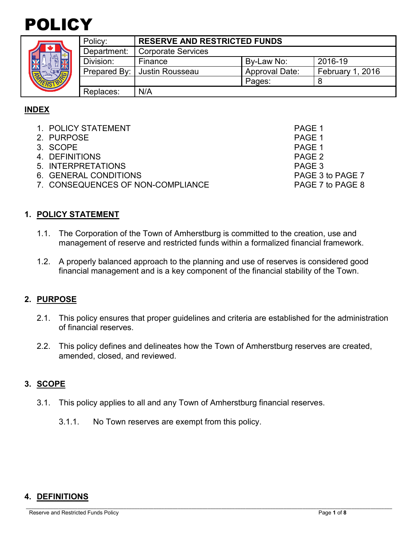# POLICY

| ¢ |  |
|---|--|

|  | Policy:     | <b>RESERVE AND RESTRICTED FUNDS</b> |                       |                  |
|--|-------------|-------------------------------------|-----------------------|------------------|
|  | Department: | <b>Corporate Services</b>           |                       |                  |
|  | Division:   | Finance                             | By-Law No:            | 2016-19          |
|  |             | Prepared By:   Justin Rousseau      | <b>Approval Date:</b> | February 1, 2016 |
|  |             |                                     | Pages:                |                  |
|  | Replaces:   | N/A                                 |                       |                  |

# **INDEX**

- 1. POLICY STATEMENT PAGE 1
- 2. PURPOSE PAGE 1<br>3. SCOPE PAGE 1
- 3. SCOPE
- 4. DEFINITIONS PAGE 2
- 5. INTERPRETATIONS PAGE 3
- 6. GENERAL CONDITIONS PAGE 3 to PAGE 7
- 7. CONSEQUENCES OF NON-COMPLIANCE PAGE 7 to PAGE 8

# **1. POLICY STATEMENT**

- 1.1. The Corporation of the Town of Amherstburg is committed to the creation, use and management of reserve and restricted funds within a formalized financial framework.
- 1.2. A properly balanced approach to the planning and use of reserves is considered good financial management and is a key component of the financial stability of the Town.

## **2. PURPOSE**

- 2.1. This policy ensures that proper guidelines and criteria are established for the administration of financial reserves.
- 2.2. This policy defines and delineates how the Town of Amherstburg reserves are created, amended, closed, and reviewed.

# **3. SCOPE**

- 3.1. This policy applies to all and any Town of Amherstburg financial reserves.
	- 3.1.1. No Town reserves are exempt from this policy.

# **4. DEFINITIONS**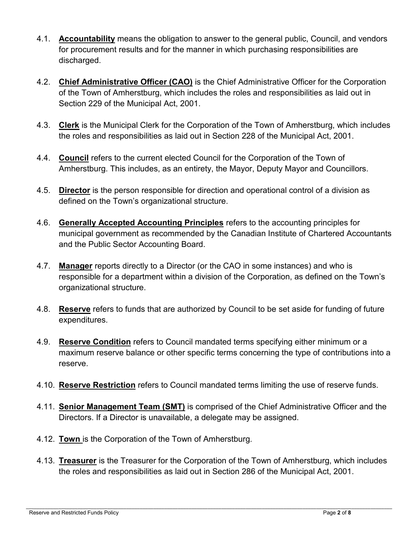- 4.1. **Accountability** means the obligation to answer to the general public, Council, and vendors for procurement results and for the manner in which purchasing responsibilities are discharged.
- 4.2. **Chief Administrative Officer (CAO)** is the Chief Administrative Officer for the Corporation of the Town of Amherstburg, which includes the roles and responsibilities as laid out in Section 229 of the Municipal Act, 2001.
- 4.3. **Clerk** is the Municipal Clerk for the Corporation of the Town of Amherstburg, which includes the roles and responsibilities as laid out in Section 228 of the Municipal Act, 2001.
- 4.4. **Council** refers to the current elected Council for the Corporation of the Town of Amherstburg. This includes, as an entirety, the Mayor, Deputy Mayor and Councillors.
- 4.5. **Director** is the person responsible for direction and operational control of a division as defined on the Town's organizational structure.
- 4.6. **Generally Accepted Accounting Principles** refers to the accounting principles for municipal government as recommended by the Canadian Institute of Chartered Accountants and the Public Sector Accounting Board.
- 4.7. **Manager** reports directly to a Director (or the CAO in some instances) and who is responsible for a department within a division of the Corporation, as defined on the Town's organizational structure.
- 4.8. **Reserve** refers to funds that are authorized by Council to be set aside for funding of future expenditures.
- 4.9. **Reserve Condition** refers to Council mandated terms specifying either minimum or a maximum reserve balance or other specific terms concerning the type of contributions into a reserve.
- 4.10. **Reserve Restriction** refers to Council mandated terms limiting the use of reserve funds.
- 4.11. **Senior Management Team (SMT)** is comprised of the Chief Administrative Officer and the Directors. If a Director is unavailable, a delegate may be assigned.
- 4.12. **Town** is the Corporation of the Town of Amherstburg.
- 4.13. **Treasurer** is the Treasurer for the Corporation of the Town of Amherstburg, which includes the roles and responsibilities as laid out in Section 286 of the Municipal Act, 2001.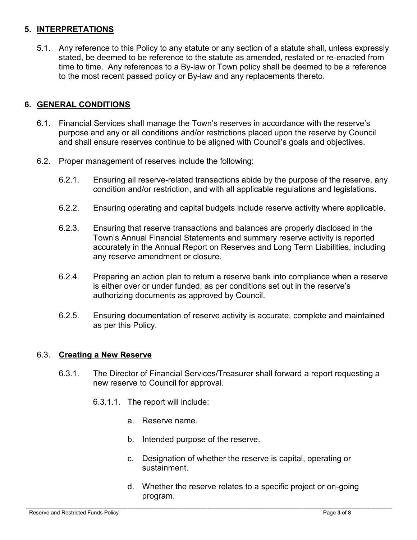# **5. INTERPRETATIONS**

5.1. Any reference to this Policy to any statute or any section of a statute shall, unless expressly stated, be deemed to be reference to the statute as amended, restated or re-enacted from time to time. Any references to a By-law or Town policy shall be deemed to be a reference to the most recent passed policy or By-law and any replacements thereto.

# **6. GENERAL CONDITIONS**

- 6.1. Financial Services shall manage the Town's reserves in accordance with the reserve's purpose and any or all conditions and/or restrictions placed upon the reserve by Council and shall ensure reserves continue to be aligned with Council's goals and objectives.
- 6.2. Proper management of reserves include the following:
	- 6.2.1. Ensuring all reserve-related transactions abide by the purpose of the reserve, any condition and/or restriction, and with all applicable regulations and legislations.
	- 6.2.2. Ensuring operating and capital budgets include reserve activity where applicable.
	- 6.2.3. Ensuring that reserve transactions and balances are properly disclosed in the Town's Annual Financial Statements and summary reserve activity is reported accurately in the Annual Report on Reserves and Long Term Liabilities, including any reserve amendment or closure.
	- 6.2.4. Preparing an action plan to return a reserve bank into compliance when a reserve is either over or under funded, as per conditions set out in the reserve's authorizing documents as approved by Council.
	- 6.2.5. Ensuring documentation of reserve activity is accurate, complete and maintained as per this Policy.

## 6.3. **Creating a New Reserve**

- 6.3.1. The Director of Financial Services/Treasurer shall forward a report requesting a new reserve to Council for approval.
	- 6.3.1.1. The report will include:
		- a. Reserve name.
		- b. Intended purpose of the reserve.
		- c. Designation of whether the reserve is capital, operating or sustainment.
		- d. Whether the reserve relates to a specific project or on-going program.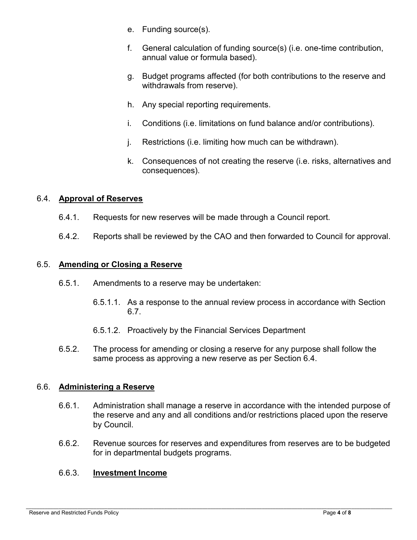- e. Funding source(s).
- f. General calculation of funding source(s) (i.e. one-time contribution, annual value or formula based).
- g. Budget programs affected (for both contributions to the reserve and withdrawals from reserve).
- h. Any special reporting requirements.
- i. Conditions (i.e. limitations on fund balance and/or contributions).
- j. Restrictions (i.e. limiting how much can be withdrawn).
- k. Consequences of not creating the reserve (i.e. risks, alternatives and consequences).

# 6.4. **Approval of Reserves**

- 6.4.1. Requests for new reserves will be made through a Council report.
- 6.4.2. Reports shall be reviewed by the CAO and then forwarded to Council for approval.

## 6.5. **Amending or Closing a Reserve**

- 6.5.1. Amendments to a reserve may be undertaken:
	- 6.5.1.1. As a response to the annual review process in accordance with Section 6.7.
	- 6.5.1.2. Proactively by the Financial Services Department
- 6.5.2. The process for amending or closing a reserve for any purpose shall follow the same process as approving a new reserve as per Section 6.4.

## 6.6. **Administering a Reserve**

- 6.6.1. Administration shall manage a reserve in accordance with the intended purpose of the reserve and any and all conditions and/or restrictions placed upon the reserve by Council.
- 6.6.2. Revenue sources for reserves and expenditures from reserves are to be budgeted for in departmental budgets programs.

## 6.6.3. **Investment Income**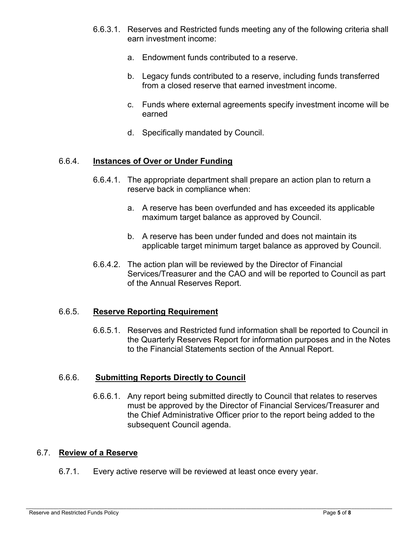- 6.6.3.1. Reserves and Restricted funds meeting any of the following criteria shall earn investment income:
	- a. Endowment funds contributed to a reserve.
	- b. Legacy funds contributed to a reserve, including funds transferred from a closed reserve that earned investment income.
	- c. Funds where external agreements specify investment income will be earned
	- d. Specifically mandated by Council.

#### 6.6.4. **Instances of Over or Under Funding**

- 6.6.4.1. The appropriate department shall prepare an action plan to return a reserve back in compliance when:
	- a. A reserve has been overfunded and has exceeded its applicable maximum target balance as approved by Council.
	- b. A reserve has been under funded and does not maintain its applicable target minimum target balance as approved by Council.
- 6.6.4.2. The action plan will be reviewed by the Director of Financial Services/Treasurer and the CAO and will be reported to Council as part of the Annual Reserves Report.

#### 6.6.5. **Reserve Reporting Requirement**

6.6.5.1. Reserves and Restricted fund information shall be reported to Council in the Quarterly Reserves Report for information purposes and in the Notes to the Financial Statements section of the Annual Report.

#### 6.6.6. **Submitting Reports Directly to Council**

6.6.6.1. Any report being submitted directly to Council that relates to reserves must be approved by the Director of Financial Services/Treasurer and the Chief Administrative Officer prior to the report being added to the subsequent Council agenda.

### 6.7. **Review of a Reserve**

6.7.1. Every active reserve will be reviewed at least once every year.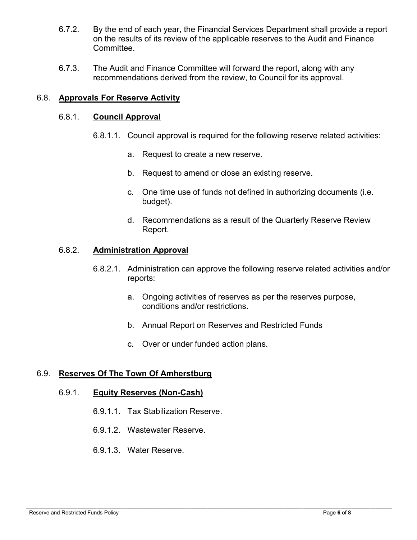- 6.7.2. By the end of each year, the Financial Services Department shall provide a report on the results of its review of the applicable reserves to the Audit and Finance Committee.
- 6.7.3. The Audit and Finance Committee will forward the report, along with any recommendations derived from the review, to Council for its approval.

## 6.8. **Approvals For Reserve Activity**

### 6.8.1. **Council Approval**

- 6.8.1.1. Council approval is required for the following reserve related activities:
	- a. Request to create a new reserve.
	- b. Request to amend or close an existing reserve.
	- c. One time use of funds not defined in authorizing documents (i.e. budget).
	- d. Recommendations as a result of the Quarterly Reserve Review Report.

## 6.8.2. **Administration Approval**

- 6.8.2.1. Administration can approve the following reserve related activities and/or reports:
	- a. Ongoing activities of reserves as per the reserves purpose, conditions and/or restrictions.
	- b. Annual Report on Reserves and Restricted Funds
	- c. Over or under funded action plans.

## 6.9. **Reserves Of The Town Of Amherstburg**

#### 6.9.1. **Equity Reserves (Non-Cash)**

- 6.9.1.1. Tax Stabilization Reserve.
- 6.9.1.2. Wastewater Reserve.
- 6.9.1.3. Water Reserve.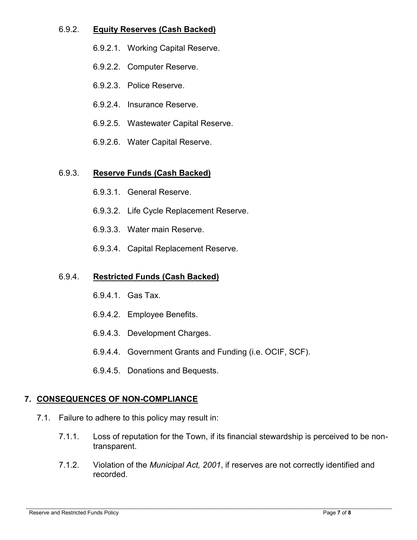## 6.9.2. **Equity Reserves (Cash Backed)**

- 6.9.2.1. Working Capital Reserve.
- 6.9.2.2. Computer Reserve.
- 6.9.2.3. Police Reserve.
- 6.9.2.4. Insurance Reserve.
- 6.9.2.5. Wastewater Capital Reserve.
- 6.9.2.6. Water Capital Reserve.

## 6.9.3. **Reserve Funds (Cash Backed)**

- 6.9.3.1. General Reserve.
- 6.9.3.2. Life Cycle Replacement Reserve.
- 6.9.3.3. Water main Reserve.
- 6.9.3.4. Capital Replacement Reserve.

## 6.9.4. **Restricted Funds (Cash Backed)**

- 6.9.4.1. Gas Tax.
- 6.9.4.2. Employee Benefits.
- 6.9.4.3. Development Charges.
- 6.9.4.4. Government Grants and Funding (i.e. OCIF, SCF).
- 6.9.4.5. Donations and Bequests.

# **7. CONSEQUENCES OF NON-COMPLIANCE**

- 7.1. Failure to adhere to this policy may result in:
	- 7.1.1. Loss of reputation for the Town, if its financial stewardship is perceived to be nontransparent.
	- 7.1.2. Violation of the *Municipal Act, 2001*, if reserves are not correctly identified and recorded.